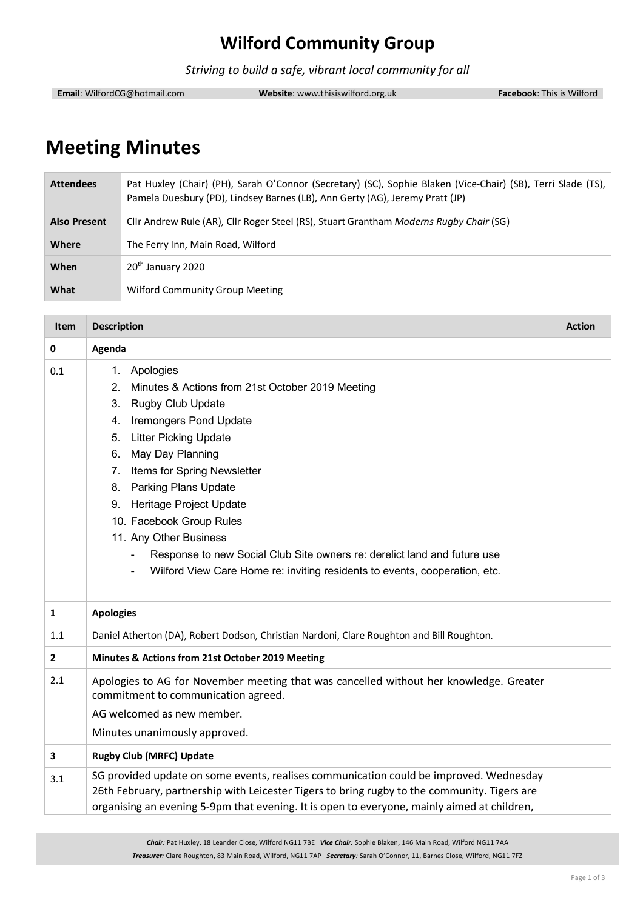## **Wilford Community Group**

*Striving to build a safe, vibrant local community for all*

**Email**: WilfordCG@hotmail.com **Website**: www.thisiswilford.org.uk **Facebook**: This is Wilford

# **Meeting Minutes**

| <b>Attendees</b>    | Pat Huxley (Chair) (PH), Sarah O'Connor (Secretary) (SC), Sophie Blaken (Vice-Chair) (SB), Terri Slade (TS),<br>Pamela Duesbury (PD), Lindsey Barnes (LB), Ann Gerty (AG), Jeremy Pratt (JP) |
|---------------------|----------------------------------------------------------------------------------------------------------------------------------------------------------------------------------------------|
| <b>Also Present</b> | Cllr Andrew Rule (AR), Cllr Roger Steel (RS), Stuart Grantham Moderns Rugby Chair (SG)                                                                                                       |
| Where               | The Ferry Inn, Main Road, Wilford                                                                                                                                                            |
| When                | 20 <sup>th</sup> January 2020                                                                                                                                                                |
| What                | Wilford Community Group Meeting                                                                                                                                                              |

| <b>Item</b>  | <b>Description</b>                                                                                                                                                                                                                                                                                                                                                                                                                                                                                       | <b>Action</b> |
|--------------|----------------------------------------------------------------------------------------------------------------------------------------------------------------------------------------------------------------------------------------------------------------------------------------------------------------------------------------------------------------------------------------------------------------------------------------------------------------------------------------------------------|---------------|
| 0            | Agenda                                                                                                                                                                                                                                                                                                                                                                                                                                                                                                   |               |
| 0.1          | 1. Apologies<br>2 <sup>1</sup><br>Minutes & Actions from 21st October 2019 Meeting<br>3. Rugby Club Update<br>4. Iremongers Pond Update<br>5. Litter Picking Update<br>May Day Planning<br>6.<br>7. Items for Spring Newsletter<br>8. Parking Plans Update<br>9. Heritage Project Update<br>10. Facebook Group Rules<br>11. Any Other Business<br>Response to new Social Club Site owners re: derelict land and future use<br>Wilford View Care Home re: inviting residents to events, cooperation, etc. |               |
| $\mathbf{1}$ | <b>Apologies</b>                                                                                                                                                                                                                                                                                                                                                                                                                                                                                         |               |
| 1.1          | Daniel Atherton (DA), Robert Dodson, Christian Nardoni, Clare Roughton and Bill Roughton.                                                                                                                                                                                                                                                                                                                                                                                                                |               |
| $\mathbf{2}$ | Minutes & Actions from 21st October 2019 Meeting                                                                                                                                                                                                                                                                                                                                                                                                                                                         |               |
| 2.1          | Apologies to AG for November meeting that was cancelled without her knowledge. Greater<br>commitment to communication agreed.<br>AG welcomed as new member.<br>Minutes unanimously approved.                                                                                                                                                                                                                                                                                                             |               |
| 3            | <b>Rugby Club (MRFC) Update</b>                                                                                                                                                                                                                                                                                                                                                                                                                                                                          |               |
| 3.1          | SG provided update on some events, realises communication could be improved. Wednesday<br>26th February, partnership with Leicester Tigers to bring rugby to the community. Tigers are<br>organising an evening 5-9pm that evening. It is open to everyone, mainly aimed at children,                                                                                                                                                                                                                    |               |

*Chair:* Pat Huxley, 18 Leander Close, Wilford NG11 7BE *Vice Chair:* Sophie Blaken, 146 Main Road, Wilford NG11 7AA *Treasurer:* Clare Roughton, 83 Main Road, Wilford, NG11 7AP *Secretary:* Sarah O'Connor, 11, Barnes Close, Wilford, NG11 7FZ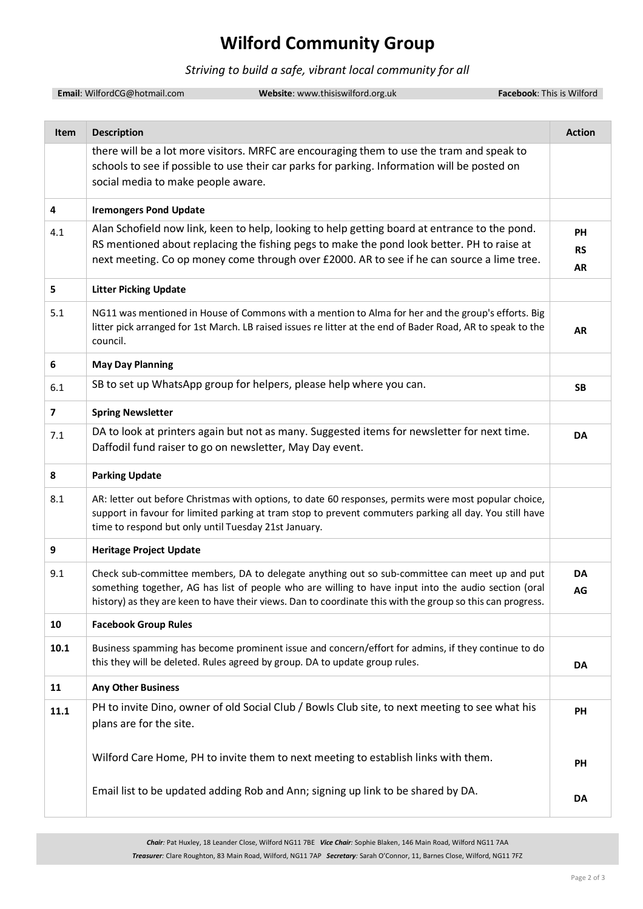### **Wilford Community Group**

#### *Striving to build a safe, vibrant local community for all*

**Email**: WilfordCG@hotmail.com **Website**: www.thisiswilford.org.uk **Facebook**: This is Wilford

**Item Description Action** there will be a lot more visitors. MRFC are encouraging them to use the tram and speak to schools to see if possible to use their car parks for parking. Information will be posted on social media to make people aware. **4 Iremongers Pond Update**  $\mathbf{q}_{1,1}$  Alan Schofield now link, keen to help, looking to help getting board at entrance to the pond. RS mentioned about replacing the fishing pegs to make the pond look better. PH to raise at next meeting. Co op money come through over £2000. AR to see if he can source a lime tree. **PH RS AR 5 Litter Picking Update** 5.1 NG11 was mentioned in House of Commons with a mention to Alma for her and the group's efforts. Big litter pick arranged for 1st March. LB raised issues re litter at the end of Bader Road, AR to speak to the council. **AR 6 May Day Planning**  $\overline{6.1}$  SB to set up WhatsApp group for helpers, please help where you can. **7 Spring Newsletter**  $7.1$  DA to look at printers again but not as many. Suggested items for newsletter for next time. Daffodil fund raiser to go on newsletter, May Day event. **DA 8 Parking Update** 8.1 AR: letter out before Christmas with options, to date 60 responses, permits were most popular choice, support in favour for limited parking at tram stop to prevent commuters parking all day. You still have time to respond but only until Tuesday 21st January. **9 Heritage Project Update** 9.1 Check sub-committee members, DA to delegate anything out so sub-committee can meet up and put something together, AG has list of people who are willing to have input into the audio section (oral history) as they are keen to have their views. Dan to coordinate this with the group so this can progress. **DA AG 10 Facebook Group Rules 10.1** Business spamming has become prominent issue and concern/effort for admins, if they continue to do this they will be deleted. Rules agreed by group. DA to update group rules. **DA 11 Any Other Business 11.1** PH to invite Dino, owner of old Social Club / Bowls Club site, to next meeting to see what his plans are for the site. Wilford Care Home, PH to invite them to next meeting to establish links with them. Email list to be updated adding Rob and Ann; signing up link to be shared by DA. **PH PH DA**

> *Chair:* Pat Huxley, 18 Leander Close, Wilford NG11 7BE *Vice Chair:* Sophie Blaken, 146 Main Road, Wilford NG11 7AA *Treasurer:* Clare Roughton, 83 Main Road, Wilford, NG11 7AP *Secretary:* Sarah O'Connor, 11, Barnes Close, Wilford, NG11 7FZ